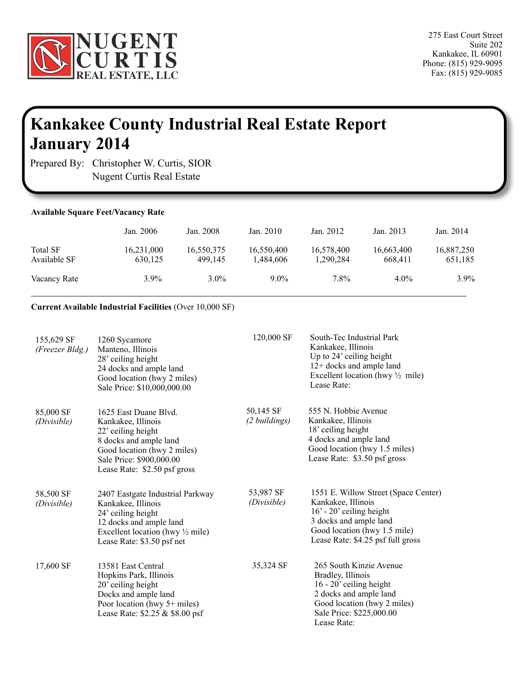

## **Kankakee County Industrial Real Estate Report January 2014**

Prepared By: Christopher W. Curtis, SIOR Nugent Curtis Real Estate

ï

| <b>Available Square Feet/Vacancy Rate</b> |                       |                       |                         |                         |                       |                       |
|-------------------------------------------|-----------------------|-----------------------|-------------------------|-------------------------|-----------------------|-----------------------|
|                                           | Jan. 2006             | Jan. 2008             | Jan. $2010$             | Jan. 2012               | Jan. 2013             | Jan. 2014             |
| <b>Total SF</b><br>Available SF           | 16,231,000<br>630,125 | 16,550,375<br>499.145 | 16,550,400<br>1,484,606 | 16,578,400<br>1,290,284 | 16,663,400<br>668,411 | 16,887,250<br>651,185 |
| Vacancy Rate                              | $3.9\%$               | $3.0\%$               | $9.0\%$                 | 7.8%                    | $4.0\%$               | $3.9\%$               |

## **Current Available Industrial Facilities** (Over 10,000 SF)

| 155,629 SF<br>(Freezer Bldg.) | 1260 Sycamore<br>Manteno, Illinois<br>28' ceiling height<br>24 docks and ample land<br>Good location (hwy 2 miles)<br>Sale Price: \$10,000,000.00                                      | 120,000 SF                 | South-Tec Industrial Park<br>Kankakee, Illinois<br>Up to 24' ceiling height<br>12+ docks and ample land<br>Excellent location (hwy $\frac{1}{2}$ mile)<br>Lease Rate:                   |
|-------------------------------|----------------------------------------------------------------------------------------------------------------------------------------------------------------------------------------|----------------------------|-----------------------------------------------------------------------------------------------------------------------------------------------------------------------------------------|
| 85,000 SF<br>(Divisible)      | 1625 East Duane Blvd.<br>Kankakee, Illinois<br>22' ceiling height<br>8 docks and ample land<br>Good location (hwy 2 miles)<br>Sale Price: \$900,000.00<br>Lease Rate: \$2.50 psf gross | 50,145 SF<br>(2 buildings) | 555 N. Hobbie Avenue<br>Kankakee, Illinois<br>18' ceiling height<br>4 docks and ample land<br>Good location (hwy 1.5 miles)<br>Lease Rate: \$3.50 psf gross                             |
| 58,500 SF<br>(Divisible)      | 2407 Eastgate Industrial Parkway<br>Kankakee, Illinois<br>24' ceiling height<br>12 docks and ample land<br>Excellent location (hwy $\frac{1}{2}$ mile)<br>Lease Rate: \$3.50 psf net   | 53,987 SF<br>(Divisible)   | 1551 E. Willow Street (Space Center)<br>Kankakee, Illinois<br>$16'$ - 20' ceiling height<br>3 docks and ample land<br>Good location (hwy 1.5 mile)<br>Lease Rate: \$4.25 psf full gross |
| 17,600 SF                     | 13581 East Central<br>Hopkins Park, Illinois<br>20' ceiling height<br>Docks and ample land<br>Poor location (hwy 5+ miles)<br>Lease Rate: \$2.25 & \$8.00 psf                          | 35,324 SF                  | 265 South Kinzie Avenue<br>Bradley, Illinois<br>16 - 20' ceiling height<br>2 docks and ample land<br>Good location (hwy 2 miles)<br>Sale Price: \$225,000.00<br>Lease Rate:             |